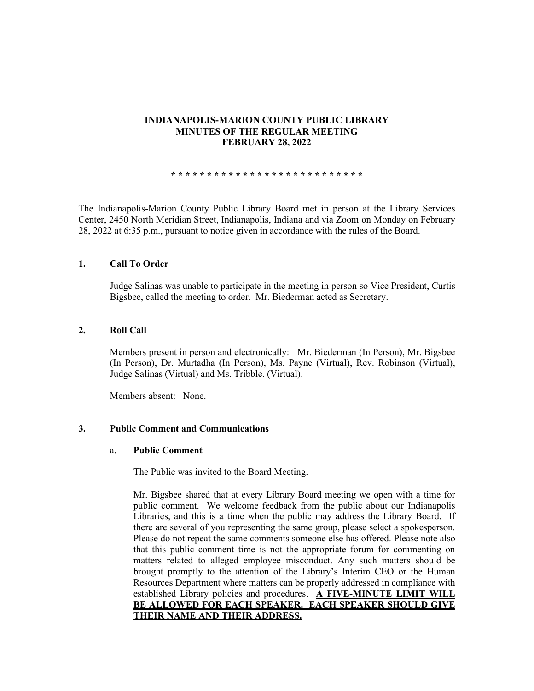## **INDIANAPOLIS-MARION COUNTY PUBLIC LIBRARY MINUTES OF THE REGULAR MEETING FEBRUARY 28, 2022**

**\* \* \* \* \* \* \* \* \* \* \* \* \* \* \* \* \* \* \* \* \* \* \* \* \* \* \***

The Indianapolis-Marion County Public Library Board met in person at the Library Services Center, 2450 North Meridian Street, Indianapolis, Indiana and via Zoom on Monday on February 28, 2022 at 6:35 p.m., pursuant to notice given in accordance with the rules of the Board.

## **1. Call To Order**

Judge Salinas was unable to participate in the meeting in person so Vice President, Curtis Bigsbee, called the meeting to order. Mr. Biederman acted as Secretary.

## **2. Roll Call**

Members present in person and electronically: Mr. Biederman (In Person), Mr. Bigsbee (In Person), Dr. Murtadha (In Person), Ms. Payne (Virtual), Rev. Robinson (Virtual), Judge Salinas (Virtual) and Ms. Tribble. (Virtual).

Members absent: None.

## **3. Public Comment and Communications**

## a. **Public Comment**

The Public was invited to the Board Meeting.

Mr. Bigsbee shared that at every Library Board meeting we open with a time for public comment. We welcome feedback from the public about our Indianapolis Libraries, and this is a time when the public may address the Library Board. If there are several of you representing the same group, please select a spokesperson. Please do not repeat the same comments someone else has offered. Please note also that this public comment time is not the appropriate forum for commenting on matters related to alleged employee misconduct. Any such matters should be brought promptly to the attention of the Library's Interim CEO or the Human Resources Department where matters can be properly addressed in compliance with established Library policies and procedures. **A FIVE-MINUTE LIMIT WILL BE ALLOWED FOR EACH SPEAKER. EACH SPEAKER SHOULD GIVE THEIR NAME AND THEIR ADDRESS.**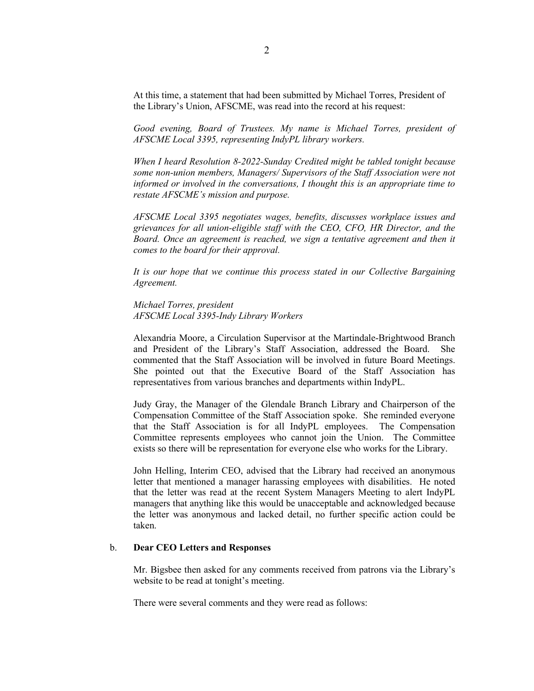At this time, a statement that had been submitted by Michael Torres, President of the Library's Union, AFSCME, was read into the record at his request:

*Good evening, Board of Trustees. My name is Michael Torres, president of AFSCME Local 3395, representing IndyPL library workers.* 

*When I heard Resolution 8-2022-Sunday Credited might be tabled tonight because some non-union members, Managers/ Supervisors of the Staff Association were not informed or involved in the conversations, I thought this is an appropriate time to restate AFSCME's mission and purpose.* 

*AFSCME Local 3395 negotiates wages, benefits, discusses workplace issues and grievances for all union-eligible staff with the CEO, CFO, HR Director, and the Board. Once an agreement is reached, we sign a tentative agreement and then it comes to the board for their approval.* 

*It is our hope that we continue this process stated in our Collective Bargaining Agreement.* 

*Michael Torres, president AFSCME Local 3395-Indy Library Workers*

Alexandria Moore, a Circulation Supervisor at the Martindale-Brightwood Branch and President of the Library's Staff Association, addressed the Board. She commented that the Staff Association will be involved in future Board Meetings. She pointed out that the Executive Board of the Staff Association has representatives from various branches and departments within IndyPL.

Judy Gray, the Manager of the Glendale Branch Library and Chairperson of the Compensation Committee of the Staff Association spoke. She reminded everyone that the Staff Association is for all IndyPL employees. The Compensation Committee represents employees who cannot join the Union. The Committee exists so there will be representation for everyone else who works for the Library.

John Helling, Interim CEO, advised that the Library had received an anonymous letter that mentioned a manager harassing employees with disabilities. He noted that the letter was read at the recent System Managers Meeting to alert IndyPL managers that anything like this would be unacceptable and acknowledged because the letter was anonymous and lacked detail, no further specific action could be taken.

## b. **Dear CEO Letters and Responses**

Mr. Bigsbee then asked for any comments received from patrons via the Library's website to be read at tonight's meeting.

There were several comments and they were read as follows: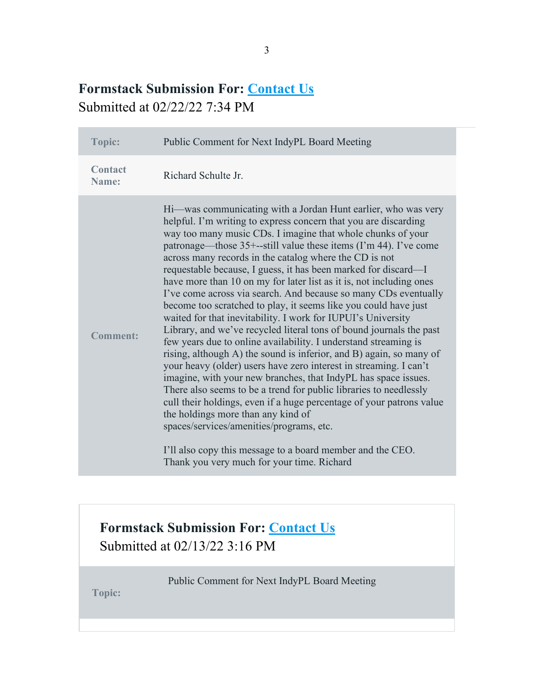# **Formstack Submission For: [Contact Us](https://indypl.formstack.com/forms/contact_us)** Submitted at 02/22/22 7:34 PM

| Topic:                  | Public Comment for Next IndyPL Board Meeting                                                                                                                                                                                                                                                                                                                                                                                                                                                                                                                                                                                                                                                                                                                                                                                                                                                                                                                                                                                                                                                                                                                                                                                                                                                                                                                                    |
|-------------------------|---------------------------------------------------------------------------------------------------------------------------------------------------------------------------------------------------------------------------------------------------------------------------------------------------------------------------------------------------------------------------------------------------------------------------------------------------------------------------------------------------------------------------------------------------------------------------------------------------------------------------------------------------------------------------------------------------------------------------------------------------------------------------------------------------------------------------------------------------------------------------------------------------------------------------------------------------------------------------------------------------------------------------------------------------------------------------------------------------------------------------------------------------------------------------------------------------------------------------------------------------------------------------------------------------------------------------------------------------------------------------------|
| <b>Contact</b><br>Name: | Richard Schulte Jr.                                                                                                                                                                                                                                                                                                                                                                                                                                                                                                                                                                                                                                                                                                                                                                                                                                                                                                                                                                                                                                                                                                                                                                                                                                                                                                                                                             |
| <b>Comment:</b>         | Hi—was communicating with a Jordan Hunt earlier, who was very<br>helpful. I'm writing to express concern that you are discarding<br>way too many music CDs. I imagine that whole chunks of your<br>patronage—those 35+--still value these items (I'm 44). I've come<br>across many records in the catalog where the CD is not<br>requestable because, I guess, it has been marked for discard—I<br>have more than 10 on my for later list as it is, not including ones<br>I've come across via search. And because so many CDs eventually<br>become too scratched to play, it seems like you could have just<br>waited for that inevitability. I work for IUPUI's University<br>Library, and we've recycled literal tons of bound journals the past<br>few years due to online availability. I understand streaming is<br>rising, although A) the sound is inferior, and B) again, so many of<br>your heavy (older) users have zero interest in streaming. I can't<br>imagine, with your new branches, that IndyPL has space issues.<br>There also seems to be a trend for public libraries to needlessly<br>cull their holdings, even if a huge percentage of your patrons value<br>the holdings more than any kind of<br>spaces/services/amenities/programs, etc.<br>I'll also copy this message to a board member and the CEO.<br>Thank you very much for your time. Richard |

# **Formstack Submission For: [Contact Us](https://indypl.formstack.com/forms/contact_us)** Submitted at 02/13/22 3:16 PM

Public Comment for Next IndyPL Board Meeting

**Topic:**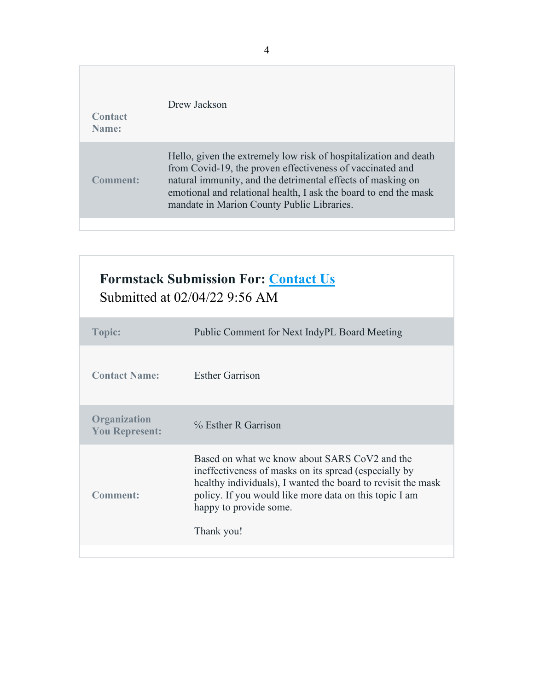| Contact<br>Name:     | Drew Jackson                                                                                                                                                                                                                                                                                                   |
|----------------------|----------------------------------------------------------------------------------------------------------------------------------------------------------------------------------------------------------------------------------------------------------------------------------------------------------------|
| 'omment <sup>.</sup> | Hello, given the extremely low risk of hospitalization and death<br>from Covid-19, the proven effectiveness of vaccinated and<br>natural immunity, and the detrimental effects of masking on<br>emotional and relational health, I ask the board to end the mask<br>mandate in Marion County Public Libraries. |
|                      |                                                                                                                                                                                                                                                                                                                |

| <b>Formstack Submission For: Contact Us</b><br>Submitted at 02/04/22 9:56 AM |                                                                                                                                                                                                                                                                          |  |
|------------------------------------------------------------------------------|--------------------------------------------------------------------------------------------------------------------------------------------------------------------------------------------------------------------------------------------------------------------------|--|
| <b>Topic:</b>                                                                | Public Comment for Next IndyPL Board Meeting                                                                                                                                                                                                                             |  |
| <b>Contact Name:</b>                                                         | <b>Esther Garrison</b>                                                                                                                                                                                                                                                   |  |
| Organization<br><b>You Represent:</b>                                        | % Esther R Garrison                                                                                                                                                                                                                                                      |  |
| Comment:                                                                     | Based on what we know about SARS CoV2 and the<br>ineffectiveness of masks on its spread (especially by<br>healthy individuals), I wanted the board to revisit the mask<br>policy. If you would like more data on this topic I am<br>happy to provide some.<br>Thank you! |  |
|                                                                              |                                                                                                                                                                                                                                                                          |  |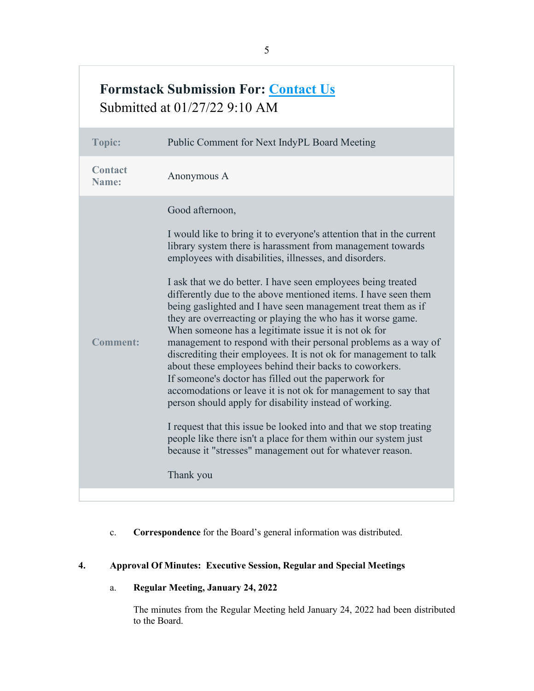# **Formstack Submission For: [Contact Us](https://indypl.formstack.com/forms/contact_us)** Submitted at 01/27/22 9:10 AM

| Contact<br>Anonymous A<br>Name:<br>Good afternoon,<br>I would like to bring it to everyone's attention that in the current<br>library system there is harassment from management towards<br>employees with disabilities, illnesses, and disorders.<br>I ask that we do better. I have seen employees being treated<br>differently due to the above mentioned items. I have seen them<br>being gaslighted and I have seen management treat them as if<br>they are overreacting or playing the who has it worse game.<br>When someone has a legitimate issue it is not ok for<br><b>Comment:</b><br>management to respond with their personal problems as a way of<br>discrediting their employees. It is not ok for management to talk<br>about these employees behind their backs to coworkers.<br>If someone's doctor has filled out the paperwork for<br>accomodations or leave it is not ok for management to say that<br>person should apply for disability instead of working.<br>I request that this issue be looked into and that we stop treating<br>people like there isn't a place for them within our system just<br>because it "stresses" management out for whatever reason.<br>Thank you | <b>Topic:</b> | Public Comment for Next IndyPL Board Meeting |
|--------------------------------------------------------------------------------------------------------------------------------------------------------------------------------------------------------------------------------------------------------------------------------------------------------------------------------------------------------------------------------------------------------------------------------------------------------------------------------------------------------------------------------------------------------------------------------------------------------------------------------------------------------------------------------------------------------------------------------------------------------------------------------------------------------------------------------------------------------------------------------------------------------------------------------------------------------------------------------------------------------------------------------------------------------------------------------------------------------------------------------------------------------------------------------------------------------|---------------|----------------------------------------------|
|                                                                                                                                                                                                                                                                                                                                                                                                                                                                                                                                                                                                                                                                                                                                                                                                                                                                                                                                                                                                                                                                                                                                                                                                        |               |                                              |
|                                                                                                                                                                                                                                                                                                                                                                                                                                                                                                                                                                                                                                                                                                                                                                                                                                                                                                                                                                                                                                                                                                                                                                                                        |               |                                              |

c. **Correspondence** for the Board's general information was distributed.

## **4. Approval Of Minutes: Executive Session, Regular and Special Meetings**

a. **Regular Meeting, January 24, 2022** 

The minutes from the Regular Meeting held January 24, 2022 had been distributed to the Board.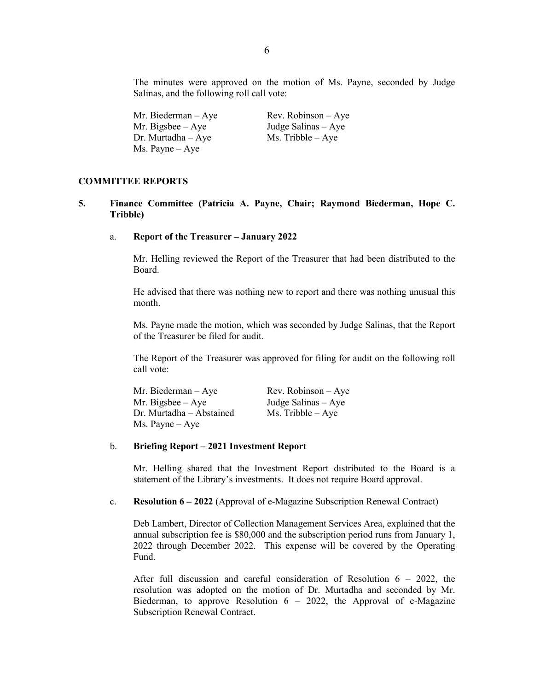The minutes were approved on the motion of Ms. Payne, seconded by Judge Salinas, and the following roll call vote:

| Mr. Biederman – Aye | Rev. Robinson $-$ Aye |
|---------------------|-----------------------|
| Mr. Bigsbee – Aye   | Judge Salinas – Aye   |
| Dr. Murtadha – Aye  | $Ms.$ Tribble $-$ Aye |
| Ms. Payne – Aye     |                       |

#### **COMMITTEE REPORTS**

- **5. Finance Committee (Patricia A. Payne, Chair; Raymond Biederman, Hope C. Tribble)**
	- a. **Report of the Treasurer – January 2022**

Mr. Helling reviewed the Report of the Treasurer that had been distributed to the Board.

He advised that there was nothing new to report and there was nothing unusual this month.

Ms. Payne made the motion, which was seconded by Judge Salinas, that the Report of the Treasurer be filed for audit.

The Report of the Treasurer was approved for filing for audit on the following roll call vote:

| Mr. Biederman – Aye      | $Rev. Robinson - Aye$ |
|--------------------------|-----------------------|
| Mr. Bigsbee $-$ Aye      | Judge Salinas $-$ Aye |
| Dr. Murtadha – Abstained | $Ms.$ Tribble $-Aye$  |
| Ms. Payne – Aye          |                       |

## b. **Briefing Report – 2021 Investment Report**

Mr. Helling shared that the Investment Report distributed to the Board is a statement of the Library's investments. It does not require Board approval.

#### c. **Resolution 6 – 2022** (Approval of e-Magazine Subscription Renewal Contract)

Deb Lambert, Director of Collection Management Services Area, explained that the annual subscription fee is \$80,000 and the subscription period runs from January 1, 2022 through December 2022. This expense will be covered by the Operating Fund.

After full discussion and careful consideration of Resolution  $6 - 2022$ , the resolution was adopted on the motion of Dr. Murtadha and seconded by Mr. Biederman, to approve Resolution  $6 - 2022$ , the Approval of e-Magazine Subscription Renewal Contract.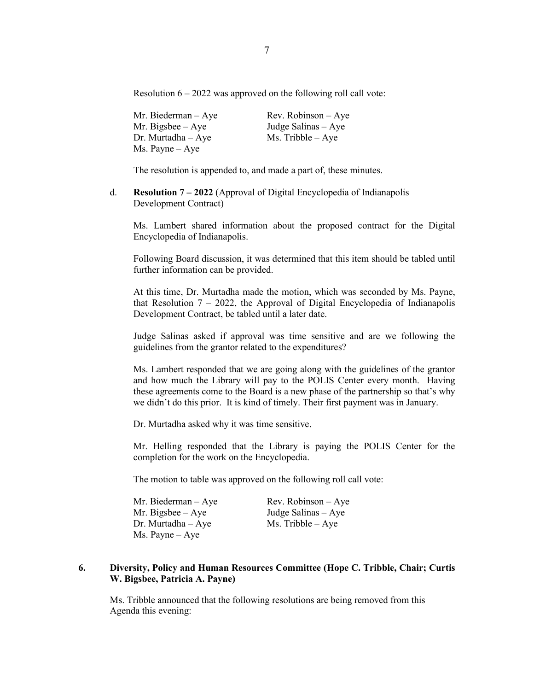Resolution  $6 - 2022$  was approved on the following roll call vote:

Mr. Biederman – Aye Rev. Robinson – Aye Mr. Bigsbee – Aye Judge Salinas – Aye Dr. Murtadha – Aye Ms. Tribble – Aye Ms. Payne – Aye

The resolution is appended to, and made a part of, these minutes.

d. **Resolution 7 – 2022** (Approval of Digital Encyclopedia of Indianapolis Development Contract)

Ms. Lambert shared information about the proposed contract for the Digital Encyclopedia of Indianapolis.

Following Board discussion, it was determined that this item should be tabled until further information can be provided.

At this time, Dr. Murtadha made the motion, which was seconded by Ms. Payne, that Resolution  $7 - 2022$ , the Approval of Digital Encyclopedia of Indianapolis Development Contract, be tabled until a later date.

Judge Salinas asked if approval was time sensitive and are we following the guidelines from the grantor related to the expenditures?

Ms. Lambert responded that we are going along with the guidelines of the grantor and how much the Library will pay to the POLIS Center every month. Having these agreements come to the Board is a new phase of the partnership so that's why we didn't do this prior. It is kind of timely. Their first payment was in January.

Dr. Murtadha asked why it was time sensitive.

Mr. Helling responded that the Library is paying the POLIS Center for the completion for the work on the Encyclopedia.

The motion to table was approved on the following roll call vote:

| Mr. Biederman – Aye | $Rev. Robinson - Aye$ |
|---------------------|-----------------------|
| Mr. Bigsbee – Aye   | Judge Salinas – Aye   |
| Dr. Murtadha – Aye  | $Ms.$ Tribble $-$ Aye |
| Ms. Payne – Aye     |                       |

## **6. Diversity, Policy and Human Resources Committee (Hope C. Tribble, Chair; Curtis W. Bigsbee, Patricia A. Payne)**

Ms. Tribble announced that the following resolutions are being removed from this Agenda this evening: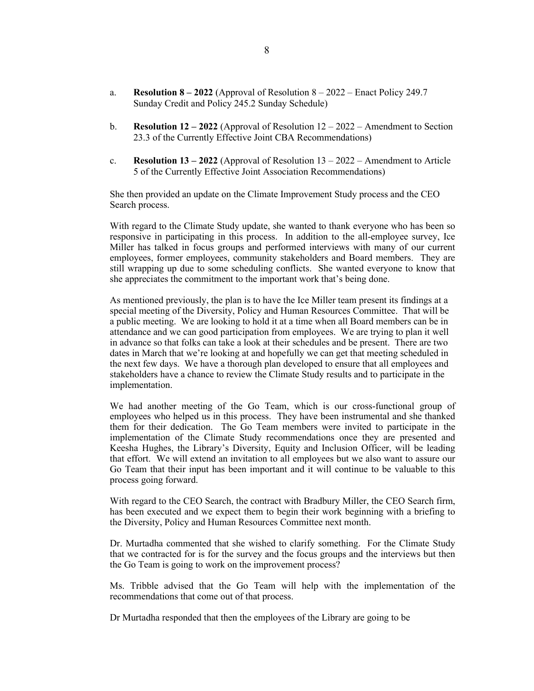- a. **Resolution 8 – 2022** (Approval of Resolution 8 2022 Enact Policy 249.7 Sunday Credit and Policy 245.2 Sunday Schedule)
- b. **Resolution 12 – 2022** (Approval of Resolution 12 2022 Amendment to Section 23.3 of the Currently Effective Joint CBA Recommendations)
- c. **Resolution 13 – 2022** (Approval of Resolution 13 2022 Amendment to Article 5 of the Currently Effective Joint Association Recommendations)

She then provided an update on the Climate Improvement Study process and the CEO Search process.

With regard to the Climate Study update, she wanted to thank everyone who has been so responsive in participating in this process. In addition to the all-employee survey, Ice Miller has talked in focus groups and performed interviews with many of our current employees, former employees, community stakeholders and Board members. They are still wrapping up due to some scheduling conflicts. She wanted everyone to know that she appreciates the commitment to the important work that's being done.

As mentioned previously, the plan is to have the Ice Miller team present its findings at a special meeting of the Diversity, Policy and Human Resources Committee. That will be a public meeting. We are looking to hold it at a time when all Board members can be in attendance and we can good participation from employees. We are trying to plan it well in advance so that folks can take a look at their schedules and be present. There are two dates in March that we're looking at and hopefully we can get that meeting scheduled in the next few days. We have a thorough plan developed to ensure that all employees and stakeholders have a chance to review the Climate Study results and to participate in the implementation.

We had another meeting of the Go Team, which is our cross-functional group of employees who helped us in this process. They have been instrumental and she thanked them for their dedication. The Go Team members were invited to participate in the implementation of the Climate Study recommendations once they are presented and Keesha Hughes, the Library's Diversity, Equity and Inclusion Officer, will be leading that effort. We will extend an invitation to all employees but we also want to assure our Go Team that their input has been important and it will continue to be valuable to this process going forward.

With regard to the CEO Search, the contract with Bradbury Miller, the CEO Search firm, has been executed and we expect them to begin their work beginning with a briefing to the Diversity, Policy and Human Resources Committee next month.

Dr. Murtadha commented that she wished to clarify something. For the Climate Study that we contracted for is for the survey and the focus groups and the interviews but then the Go Team is going to work on the improvement process?

Ms. Tribble advised that the Go Team will help with the implementation of the recommendations that come out of that process.

Dr Murtadha responded that then the employees of the Library are going to be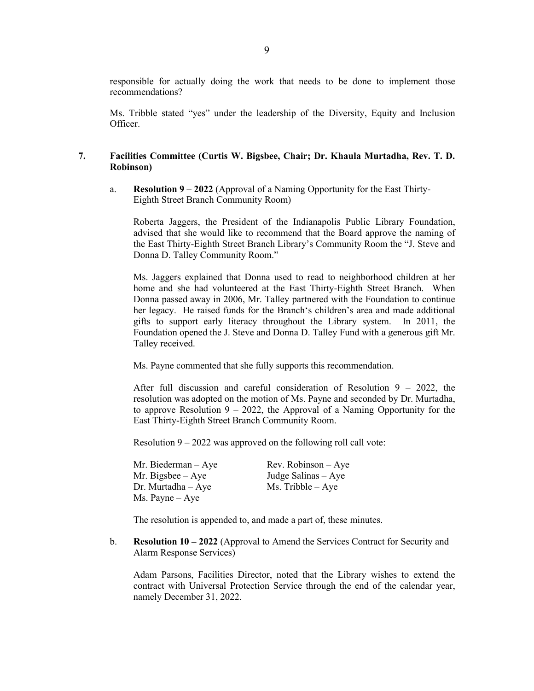responsible for actually doing the work that needs to be done to implement those recommendations?

Ms. Tribble stated "yes" under the leadership of the Diversity, Equity and Inclusion Officer.

## **7. Facilities Committee (Curtis W. Bigsbee, Chair; Dr. Khaula Murtadha, Rev. T. D. Robinson)**

a. **Resolution 9 – 2022** (Approval of a Naming Opportunity for the East Thirty-Eighth Street Branch Community Room)

Roberta Jaggers, the President of the Indianapolis Public Library Foundation, advised that she would like to recommend that the Board approve the naming of the East Thirty-Eighth Street Branch Library's Community Room the "J. Steve and Donna D. Talley Community Room."

Ms. Jaggers explained that Donna used to read to neighborhood children at her home and she had volunteered at the East Thirty-Eighth Street Branch. When Donna passed away in 2006, Mr. Talley partnered with the Foundation to continue her legacy. He raised funds for the Branch's children's area and made additional gifts to support early literacy throughout the Library system. In 2011, the Foundation opened the J. Steve and Donna D. Talley Fund with a generous gift Mr. Talley received.

Ms. Payne commented that she fully supports this recommendation.

After full discussion and careful consideration of Resolution 9 – 2022, the resolution was adopted on the motion of Ms. Payne and seconded by Dr. Murtadha, to approve Resolution  $9 - 2022$ , the Approval of a Naming Opportunity for the East Thirty-Eighth Street Branch Community Room.

Resolution  $9 - 2022$  was approved on the following roll call vote:

| Mr. Biederman $-$ Aye    | $Rev. Robinson - Aye$ |
|--------------------------|-----------------------|
| Mr. Bigsbee $-$ Aye      | Judge Salinas – Aye   |
| $Dr.$ Murtadha $-$ Aye   | $Ms.$ Tribble $-$ Aye |
| $Ms. \text{Payne} - Aye$ |                       |

The resolution is appended to, and made a part of, these minutes.

b. **Resolution 10 – 2022** (Approval to Amend the Services Contract for Security and Alarm Response Services)

Adam Parsons, Facilities Director, noted that the Library wishes to extend the contract with Universal Protection Service through the end of the calendar year, namely December 31, 2022.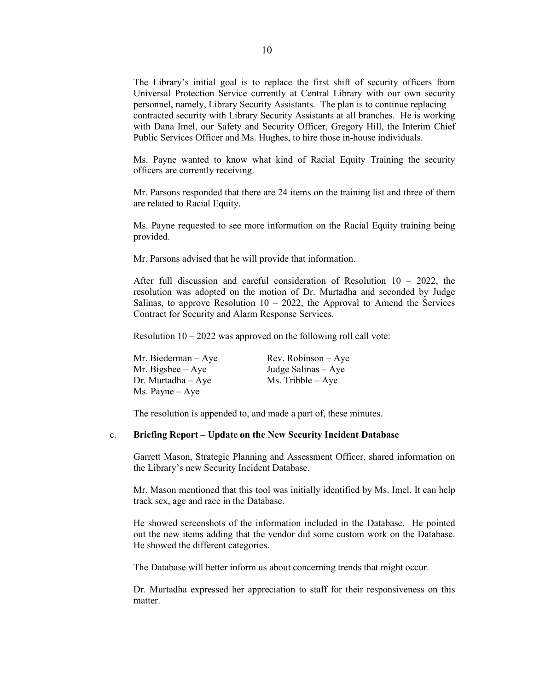The Library's initial goal is to replace the first shift of security officers from Universal Protection Service currently at Central Library with our own security personnel, namely, Library Security Assistants. The plan is to continue replacing contracted security with Library Security Assistants at all branches. He is working with Dana Imel, our Safety and Security Officer, Gregory Hill, the Interim Chief Public Services Officer and Ms. Hughes, to hire those in-house individuals.

Ms. Payne wanted to know what kind of Racial Equity Training the security officers are currently receiving.

Mr. Parsons responded that there are 24 items on the training list and three of them are related to Racial Equity.

Ms. Payne requested to see more information on the Racial Equity training being provided.

Mr. Parsons advised that he will provide that information.

After full discussion and careful consideration of Resolution 10 – 2022, the resolution was adopted on the motion of Dr. Murtadha and seconded by Judge Salinas, to approve Resolution  $10 - 2022$ , the Approval to Amend the Services Contract for Security and Alarm Response Services.

Resolution  $10 - 2022$  was approved on the following roll call vote:

| Mr. Biederman – Aye | $Rev. Robinson - Aye$ |
|---------------------|-----------------------|
| Mr. Bigsbee $-$ Aye | Judge Salinas – Aye   |
| Dr. Murtadha – Aye  | $Ms.$ Tribble $-$ Aye |
| Ms. Payne – Aye     |                       |

The resolution is appended to, and made a part of, these minutes.

#### c. **Briefing Report – Update on the New Security Incident Database**

Garrett Mason, Strategic Planning and Assessment Officer, shared information on the Library's new Security Incident Database.

Mr. Mason mentioned that this tool was initially identified by Ms. Imel. It can help track sex, age and race in the Database.

He showed screenshots of the information included in the Database. He pointed out the new items adding that the vendor did some custom work on the Database. He showed the different categories.

The Database will better inform us about concerning trends that might occur.

Dr. Murtadha expressed her appreciation to staff for their responsiveness on this matter.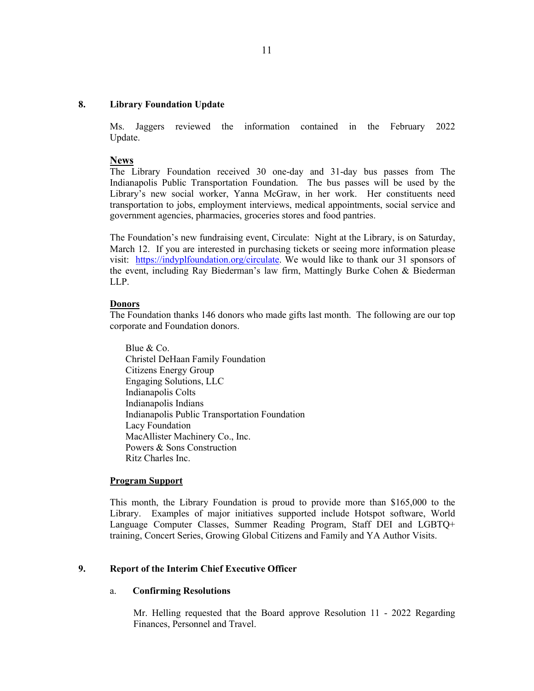#### **8. Library Foundation Update**

Ms. Jaggers reviewed the information contained in the February 2022 Update.

#### **News**

The Library Foundation received 30 one-day and 31-day bus passes from The Indianapolis Public Transportation Foundation. The bus passes will be used by the Library's new social worker, Yanna McGraw, in her work. Her constituents need transportation to jobs, employment interviews, medical appointments, social service and government agencies, pharmacies, groceries stores and food pantries.

The Foundation's new fundraising event, Circulate: Night at the Library, is on Saturday, March 12. If you are interested in purchasing tickets or seeing more information please visit: [https://indyplfoundation.org/circulate.](https://indyplfoundation.org/circulate) We would like to thank our 31 sponsors of the event, including Ray Biederman's law firm, Mattingly Burke Cohen & Biederman LLP.

#### **Donors**

The Foundation thanks 146 donors who made gifts last month. The following are our top corporate and Foundation donors.

Blue & Co. Christel DeHaan Family Foundation Citizens Energy Group Engaging Solutions, LLC Indianapolis Colts Indianapolis Indians Indianapolis Public Transportation Foundation Lacy Foundation MacAllister Machinery Co., Inc. Powers & Sons Construction Ritz Charles Inc.

#### **Program Support**

This month, the Library Foundation is proud to provide more than \$165,000 to the Library. Examples of major initiatives supported include Hotspot software, World Language Computer Classes, Summer Reading Program, Staff DEI and LGBTQ+ training, Concert Series, Growing Global Citizens and Family and YA Author Visits.

## **9. Report of the Interim Chief Executive Officer**

#### a. **Confirming Resolutions**

Mr. Helling requested that the Board approve Resolution 11 - 2022 Regarding Finances, Personnel and Travel.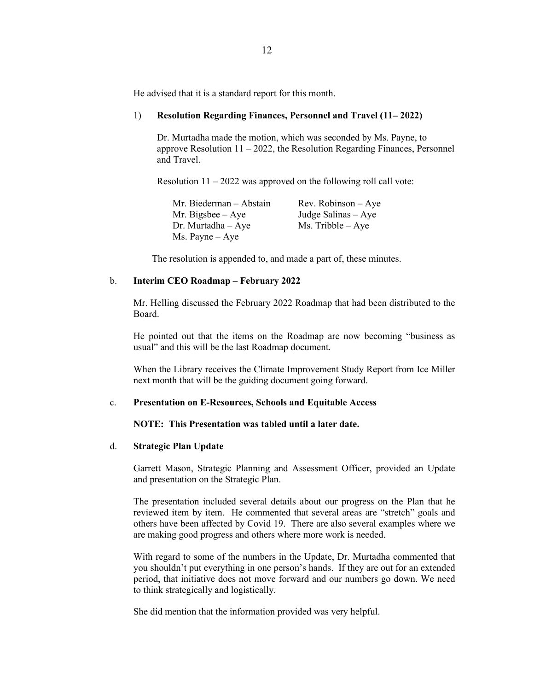He advised that it is a standard report for this month.

#### 1) **Resolution Regarding Finances, Personnel and Travel (11– 2022)**

Dr. Murtadha made the motion, which was seconded by Ms. Payne, to approve Resolution 11 – 2022, the Resolution Regarding Finances, Personnel and Travel.

Resolution  $11 - 2022$  was approved on the following roll call vote:

| Mr. Biederman - Abstain  | $Rev. Robinson - Aye$ |
|--------------------------|-----------------------|
| Mr. Bigsbee $-$ Aye      | Judge Salinas $-$ Aye |
| $Dr.$ Murtadha $-$ Aye   | $Ms.$ Tribble $-Aye$  |
| $Ms. \text{Payne} - Aye$ |                       |

The resolution is appended to, and made a part of, these minutes.

#### b. **Interim CEO Roadmap – February 2022**

Mr. Helling discussed the February 2022 Roadmap that had been distributed to the Board.

He pointed out that the items on the Roadmap are now becoming "business as usual" and this will be the last Roadmap document.

When the Library receives the Climate Improvement Study Report from Ice Miller next month that will be the guiding document going forward.

### c. **Presentation on E-Resources, Schools and Equitable Access**

### **NOTE: This Presentation was tabled until a later date.**

### d. **Strategic Plan Update**

Garrett Mason, Strategic Planning and Assessment Officer, provided an Update and presentation on the Strategic Plan.

The presentation included several details about our progress on the Plan that he reviewed item by item. He commented that several areas are "stretch" goals and others have been affected by Covid 19. There are also several examples where we are making good progress and others where more work is needed.

With regard to some of the numbers in the Update, Dr. Murtadha commented that you shouldn't put everything in one person's hands. If they are out for an extended period, that initiative does not move forward and our numbers go down. We need to think strategically and logistically.

She did mention that the information provided was very helpful.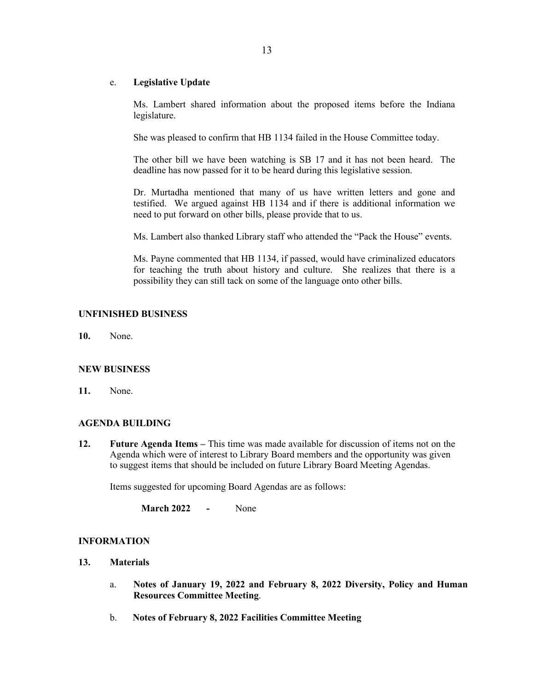## e. **Legislative Update**

Ms. Lambert shared information about the proposed items before the Indiana legislature.

She was pleased to confirm that HB 1134 failed in the House Committee today.

The other bill we have been watching is SB 17 and it has not been heard. The deadline has now passed for it to be heard during this legislative session.

Dr. Murtadha mentioned that many of us have written letters and gone and testified. We argued against HB 1134 and if there is additional information we need to put forward on other bills, please provide that to us.

Ms. Lambert also thanked Library staff who attended the "Pack the House" events.

Ms. Payne commented that HB 1134, if passed, would have criminalized educators for teaching the truth about history and culture. She realizes that there is a possibility they can still tack on some of the language onto other bills.

## **UNFINISHED BUSINESS**

**10.** None.

## **NEW BUSINESS**

**11.** None.

## **AGENDA BUILDING**

**12. Future Agenda Items –** This time was made available for discussion of items not on the Agenda which were of interest to Library Board members and the opportunity was given to suggest items that should be included on future Library Board Meeting Agendas.

Items suggested for upcoming Board Agendas are as follows:

**March 2022 -** None

## **INFORMATION**

- **13. Materials** 
	- a. **Notes of January 19, 2022 and February 8, 2022 Diversity, Policy and Human Resources Committee Meeting**.
	- b. **Notes of February 8, 2022 Facilities Committee Meeting**